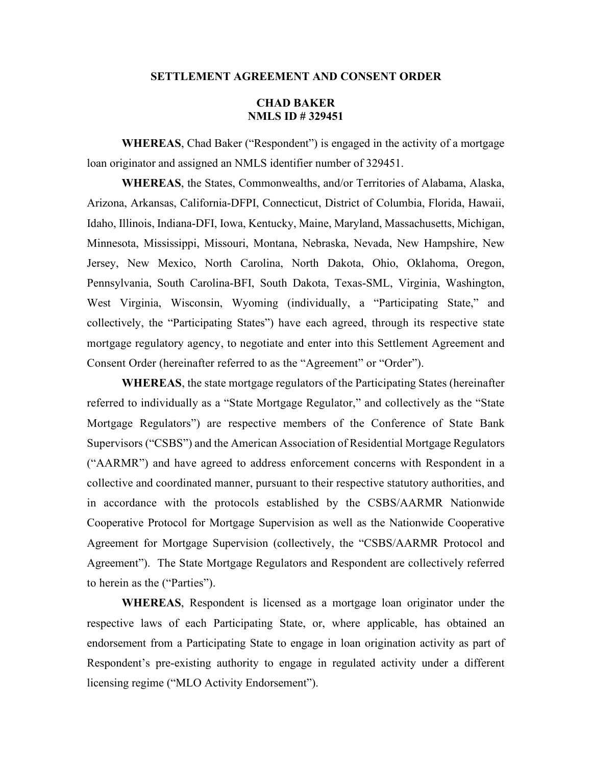#### **SETTLEMENT AGREEMENT AND CONSENT ORDER**

### **CHAD BAKER NMLS ID # 329451**

**WHEREAS**, Chad Baker ("Respondent") is engaged in the activity of a mortgage loan originator and assigned an NMLS identifier number of 329451.

**WHEREAS**, the States, Commonwealths, and/or Territories of Alabama, Alaska, Arizona, Arkansas, California-DFPI, Connecticut, District of Columbia, Florida, Hawaii, Idaho, Illinois, Indiana-DFI, Iowa, Kentucky, Maine, Maryland, Massachusetts, Michigan, Minnesota, Mississippi, Missouri, Montana, Nebraska, Nevada, New Hampshire, New Jersey, New Mexico, North Carolina, North Dakota, Ohio, Oklahoma, Oregon, Pennsylvania, South Carolina-BFI, South Dakota, Texas-SML, Virginia, Washington, West Virginia, Wisconsin, Wyoming (individually, a "Participating State," and collectively, the "Participating States") have each agreed, through its respective state mortgage regulatory agency, to negotiate and enter into this Settlement Agreement and Consent Order (hereinafter referred to as the "Agreement" or "Order").

**WHEREAS**, the state mortgage regulators of the Participating States (hereinafter referred to individually as a "State Mortgage Regulator," and collectively as the "State Mortgage Regulators") are respective members of the Conference of State Bank Supervisors ("CSBS") and the American Association of Residential Mortgage Regulators ("AARMR") and have agreed to address enforcement concerns with Respondent in a collective and coordinated manner, pursuant to their respective statutory authorities, and in accordance with the protocols established by the CSBS/AARMR Nationwide Cooperative Protocol for Mortgage Supervision as well as the Nationwide Cooperative Agreement for Mortgage Supervision (collectively, the "CSBS/AARMR Protocol and Agreement"). The State Mortgage Regulators and Respondent are collectively referred to herein as the ("Parties").

**WHEREAS**, Respondent is licensed as a mortgage loan originator under the respective laws of each Participating State, or, where applicable, has obtained an endorsement from a Participating State to engage in loan origination activity as part of Respondent's pre-existing authority to engage in regulated activity under a different licensing regime ("MLO Activity Endorsement").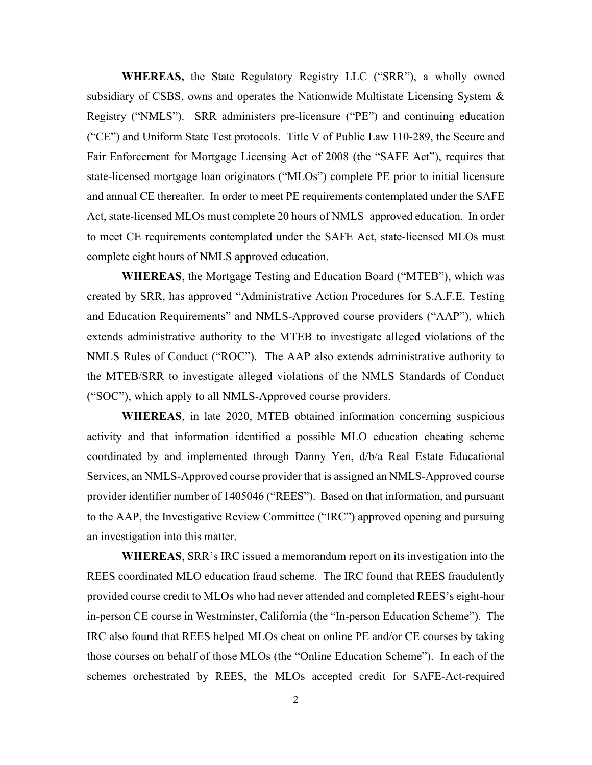**WHEREAS,** the State Regulatory Registry LLC ("SRR"), a wholly owned subsidiary of CSBS, owns and operates the Nationwide Multistate Licensing System  $\&$ Registry ("NMLS"). SRR administers pre-licensure ("PE") and continuing education ("CE") and Uniform State Test protocols. Title V of Public Law 110-289, the Secure and Fair Enforcement for Mortgage Licensing Act of 2008 (the "SAFE Act"), requires that state-licensed mortgage loan originators ("MLOs") complete PE prior to initial licensure and annual CE thereafter. In order to meet PE requirements contemplated under the SAFE Act, state-licensed MLOs must complete 20 hours of NMLS–approved education. In order to meet CE requirements contemplated under the SAFE Act, state-licensed MLOs must complete eight hours of NMLS approved education.

**WHEREAS**, the Mortgage Testing and Education Board ("MTEB"), which was created by SRR, has approved "Administrative Action Procedures for S.A.F.E. Testing and Education Requirements" and NMLS-Approved course providers ("AAP"), which extends administrative authority to the MTEB to investigate alleged violations of the NMLS Rules of Conduct ("ROC"). The AAP also extends administrative authority to the MTEB/SRR to investigate alleged violations of the NMLS Standards of Conduct ("SOC"), which apply to all NMLS-Approved course providers.

**WHEREAS**, in late 2020, MTEB obtained information concerning suspicious activity and that information identified a possible MLO education cheating scheme coordinated by and implemented through Danny Yen, d/b/a Real Estate Educational Services, an NMLS-Approved course provider that is assigned an NMLS-Approved course provider identifier number of 1405046 ("REES"). Based on that information, and pursuant to the AAP, the Investigative Review Committee ("IRC") approved opening and pursuing an investigation into this matter.

**WHEREAS**, SRR's IRC issued a memorandum report on its investigation into the REES coordinated MLO education fraud scheme. The IRC found that REES fraudulently provided course credit to MLOs who had never attended and completed REES's eight-hour in-person CE course in Westminster, California (the "In-person Education Scheme"). The IRC also found that REES helped MLOs cheat on online PE and/or CE courses by taking those courses on behalf of those MLOs (the "Online Education Scheme"). In each of the schemes orchestrated by REES, the MLOs accepted credit for SAFE-Act-required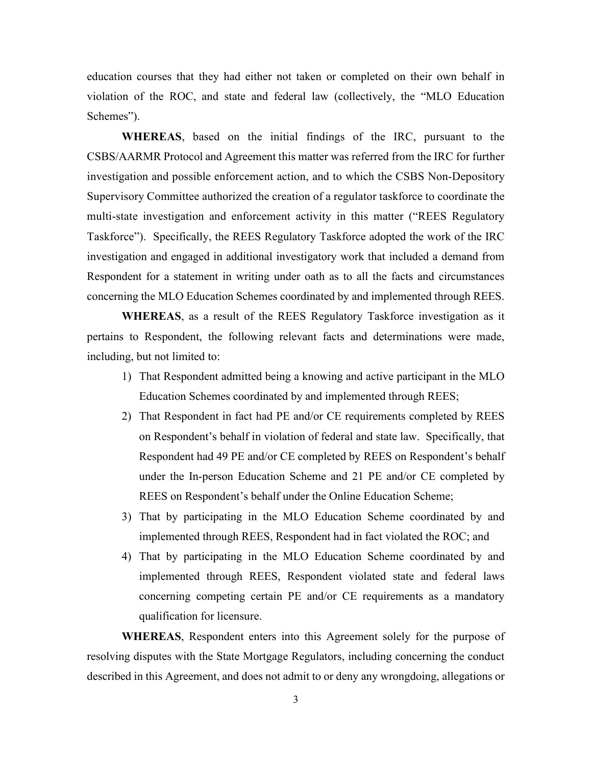education courses that they had either not taken or completed on their own behalf in violation of the ROC, and state and federal law (collectively, the "MLO Education Schemes").

**WHEREAS**, based on the initial findings of the IRC, pursuant to the CSBS/AARMR Protocol and Agreement this matter was referred from the IRC for further investigation and possible enforcement action, and to which the CSBS Non-Depository Supervisory Committee authorized the creation of a regulator taskforce to coordinate the multi-state investigation and enforcement activity in this matter ("REES Regulatory Taskforce"). Specifically, the REES Regulatory Taskforce adopted the work of the IRC investigation and engaged in additional investigatory work that included a demand from Respondent for a statement in writing under oath as to all the facts and circumstances concerning the MLO Education Schemes coordinated by and implemented through REES.

**WHEREAS**, as a result of the REES Regulatory Taskforce investigation as it pertains to Respondent, the following relevant facts and determinations were made, including, but not limited to:

- 1) That Respondent admitted being a knowing and active participant in the MLO Education Schemes coordinated by and implemented through REES;
- 2) That Respondent in fact had PE and/or CE requirements completed by REES on Respondent's behalf in violation of federal and state law. Specifically, that Respondent had 49 PE and/or CE completed by REES on Respondent's behalf under the In-person Education Scheme and 21 PE and/or CE completed by REES on Respondent's behalf under the Online Education Scheme;
- 3) That by participating in the MLO Education Scheme coordinated by and implemented through REES, Respondent had in fact violated the ROC; and
- 4) That by participating in the MLO Education Scheme coordinated by and implemented through REES, Respondent violated state and federal laws concerning competing certain PE and/or CE requirements as a mandatory qualification for licensure.

**WHEREAS**, Respondent enters into this Agreement solely for the purpose of resolving disputes with the State Mortgage Regulators, including concerning the conduct described in this Agreement, and does not admit to or deny any wrongdoing, allegations or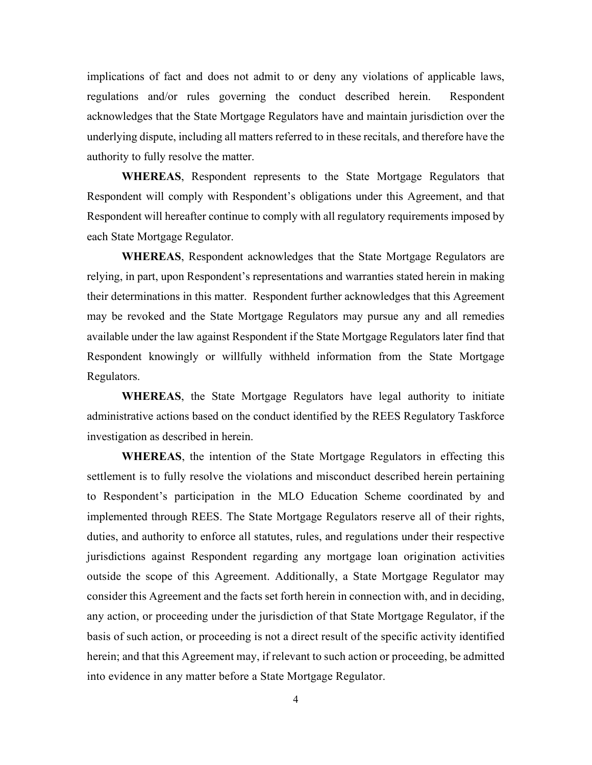implications of fact and does not admit to or deny any violations of applicable laws, regulations and/or rules governing the conduct described herein. Respondent acknowledges that the State Mortgage Regulators have and maintain jurisdiction over the underlying dispute, including all matters referred to in these recitals, and therefore have the authority to fully resolve the matter.

**WHEREAS**, Respondent represents to the State Mortgage Regulators that Respondent will comply with Respondent's obligations under this Agreement, and that Respondent will hereafter continue to comply with all regulatory requirements imposed by each State Mortgage Regulator.

**WHEREAS**, Respondent acknowledges that the State Mortgage Regulators are relying, in part, upon Respondent's representations and warranties stated herein in making their determinations in this matter. Respondent further acknowledges that this Agreement may be revoked and the State Mortgage Regulators may pursue any and all remedies available under the law against Respondent if the State Mortgage Regulators later find that Respondent knowingly or willfully withheld information from the State Mortgage Regulators.

**WHEREAS**, the State Mortgage Regulators have legal authority to initiate administrative actions based on the conduct identified by the REES Regulatory Taskforce investigation as described in herein.

**WHEREAS**, the intention of the State Mortgage Regulators in effecting this settlement is to fully resolve the violations and misconduct described herein pertaining to Respondent's participation in the MLO Education Scheme coordinated by and implemented through REES. The State Mortgage Regulators reserve all of their rights, duties, and authority to enforce all statutes, rules, and regulations under their respective jurisdictions against Respondent regarding any mortgage loan origination activities outside the scope of this Agreement. Additionally, a State Mortgage Regulator may consider this Agreement and the facts set forth herein in connection with, and in deciding, any action, or proceeding under the jurisdiction of that State Mortgage Regulator, if the basis of such action, or proceeding is not a direct result of the specific activity identified herein; and that this Agreement may, if relevant to such action or proceeding, be admitted into evidence in any matter before a State Mortgage Regulator.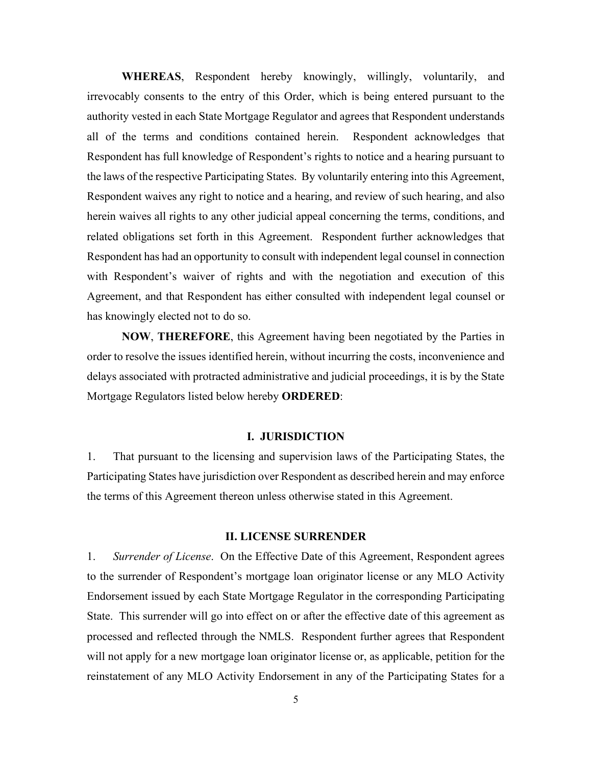**WHEREAS**, Respondent hereby knowingly, willingly, voluntarily, and irrevocably consents to the entry of this Order, which is being entered pursuant to the authority vested in each State Mortgage Regulator and agrees that Respondent understands all of the terms and conditions contained herein. Respondent acknowledges that Respondent has full knowledge of Respondent's rights to notice and a hearing pursuant to the laws of the respective Participating States. By voluntarily entering into this Agreement, Respondent waives any right to notice and a hearing, and review of such hearing, and also herein waives all rights to any other judicial appeal concerning the terms, conditions, and related obligations set forth in this Agreement. Respondent further acknowledges that Respondent has had an opportunity to consult with independent legal counsel in connection with Respondent's waiver of rights and with the negotiation and execution of this Agreement, and that Respondent has either consulted with independent legal counsel or has knowingly elected not to do so.

**NOW**, **THEREFORE**, this Agreement having been negotiated by the Parties in order to resolve the issues identified herein, without incurring the costs, inconvenience and delays associated with protracted administrative and judicial proceedings, it is by the State Mortgage Regulators listed below hereby **ORDERED**:

#### **I. JURISDICTION**

1. That pursuant to the licensing and supervision laws of the Participating States, the Participating States have jurisdiction over Respondent as described herein and may enforce the terms of this Agreement thereon unless otherwise stated in this Agreement.

### **II. LICENSE SURRENDER**

1. *Surrender of License*. On the Effective Date of this Agreement, Respondent agrees to the surrender of Respondent's mortgage loan originator license or any MLO Activity Endorsement issued by each State Mortgage Regulator in the corresponding Participating State. This surrender will go into effect on or after the effective date of this agreement as processed and reflected through the NMLS. Respondent further agrees that Respondent will not apply for a new mortgage loan originator license or, as applicable, petition for the reinstatement of any MLO Activity Endorsement in any of the Participating States for a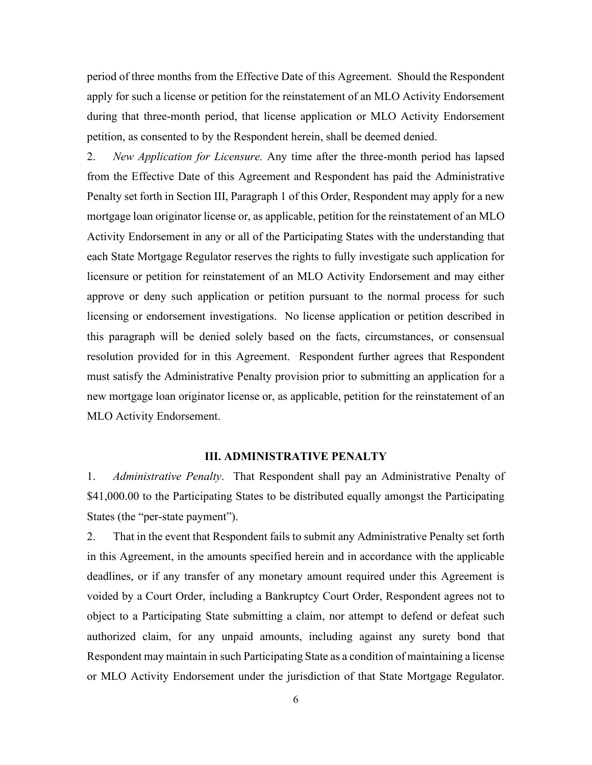period of three months from the Effective Date of this Agreement. Should the Respondent apply for such a license or petition for the reinstatement of an MLO Activity Endorsement during that three-month period, that license application or MLO Activity Endorsement petition, as consented to by the Respondent herein, shall be deemed denied.

2. *New Application for Licensure.* Any time after the three-month period has lapsed from the Effective Date of this Agreement and Respondent has paid the Administrative Penalty set forth in Section III, Paragraph 1 of this Order, Respondent may apply for a new mortgage loan originator license or, as applicable, petition for the reinstatement of an MLO Activity Endorsement in any or all of the Participating States with the understanding that each State Mortgage Regulator reserves the rights to fully investigate such application for licensure or petition for reinstatement of an MLO Activity Endorsement and may either approve or deny such application or petition pursuant to the normal process for such licensing or endorsement investigations. No license application or petition described in this paragraph will be denied solely based on the facts, circumstances, or consensual resolution provided for in this Agreement. Respondent further agrees that Respondent must satisfy the Administrative Penalty provision prior to submitting an application for a new mortgage loan originator license or, as applicable, petition for the reinstatement of an MLO Activity Endorsement.

#### **III. ADMINISTRATIVE PENALTY**

1. *Administrative Penalty*. That Respondent shall pay an Administrative Penalty of \$41,000.00 to the Participating States to be distributed equally amongst the Participating States (the "per-state payment").

2. That in the event that Respondent fails to submit any Administrative Penalty set forth in this Agreement, in the amounts specified herein and in accordance with the applicable deadlines, or if any transfer of any monetary amount required under this Agreement is voided by a Court Order, including a Bankruptcy Court Order, Respondent agrees not to object to a Participating State submitting a claim, nor attempt to defend or defeat such authorized claim, for any unpaid amounts, including against any surety bond that Respondent may maintain in such Participating State as a condition of maintaining a license or MLO Activity Endorsement under the jurisdiction of that State Mortgage Regulator.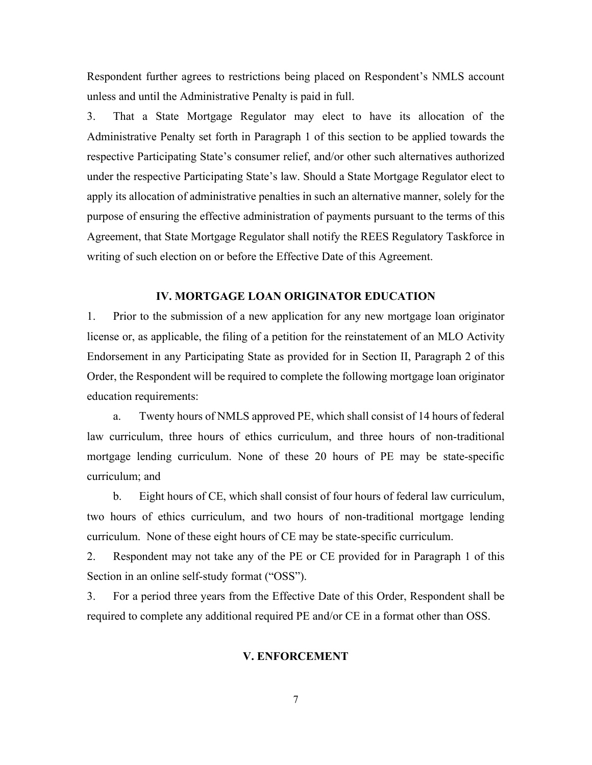Respondent further agrees to restrictions being placed on Respondent's NMLS account unless and until the Administrative Penalty is paid in full.

3. That a State Mortgage Regulator may elect to have its allocation of the Administrative Penalty set forth in Paragraph 1 of this section to be applied towards the respective Participating State's consumer relief, and/or other such alternatives authorized under the respective Participating State's law. Should a State Mortgage Regulator elect to apply its allocation of administrative penalties in such an alternative manner, solely for the purpose of ensuring the effective administration of payments pursuant to the terms of this Agreement, that State Mortgage Regulator shall notify the REES Regulatory Taskforce in writing of such election on or before the Effective Date of this Agreement.

#### **IV. MORTGAGE LOAN ORIGINATOR EDUCATION**

1. Prior to the submission of a new application for any new mortgage loan originator license or, as applicable, the filing of a petition for the reinstatement of an MLO Activity Endorsement in any Participating State as provided for in Section II, Paragraph 2 of this Order, the Respondent will be required to complete the following mortgage loan originator education requirements:

a. Twenty hours of NMLS approved PE, which shall consist of 14 hours of federal law curriculum, three hours of ethics curriculum, and three hours of non-traditional mortgage lending curriculum. None of these 20 hours of PE may be state-specific curriculum; and

 b. Eight hours of CE, which shall consist of four hours of federal law curriculum, two hours of ethics curriculum, and two hours of non-traditional mortgage lending curriculum. None of these eight hours of CE may be state-specific curriculum.

2. Respondent may not take any of the PE or CE provided for in Paragraph 1 of this Section in an online self-study format ("OSS").

3. For a period three years from the Effective Date of this Order, Respondent shall be required to complete any additional required PE and/or CE in a format other than OSS.

#### **V. ENFORCEMENT**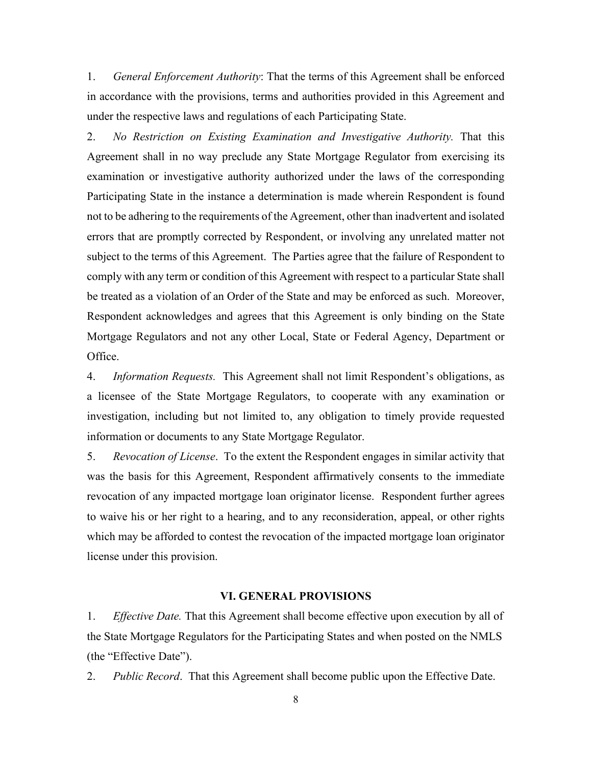1. *General Enforcement Authority*: That the terms of this Agreement shall be enforced in accordance with the provisions, terms and authorities provided in this Agreement and under the respective laws and regulations of each Participating State.

2. *No Restriction on Existing Examination and Investigative Authority.* That this Agreement shall in no way preclude any State Mortgage Regulator from exercising its examination or investigative authority authorized under the laws of the corresponding Participating State in the instance a determination is made wherein Respondent is found not to be adhering to the requirements of the Agreement, other than inadvertent and isolated errors that are promptly corrected by Respondent, or involving any unrelated matter not subject to the terms of this Agreement. The Parties agree that the failure of Respondent to comply with any term or condition of this Agreement with respect to a particular State shall be treated as a violation of an Order of the State and may be enforced as such. Moreover, Respondent acknowledges and agrees that this Agreement is only binding on the State Mortgage Regulators and not any other Local, State or Federal Agency, Department or Office.

4. *Information Requests.* This Agreement shall not limit Respondent's obligations, as a licensee of the State Mortgage Regulators, to cooperate with any examination or investigation, including but not limited to, any obligation to timely provide requested information or documents to any State Mortgage Regulator.

5. *Revocation of License*. To the extent the Respondent engages in similar activity that was the basis for this Agreement, Respondent affirmatively consents to the immediate revocation of any impacted mortgage loan originator license. Respondent further agrees to waive his or her right to a hearing, and to any reconsideration, appeal, or other rights which may be afforded to contest the revocation of the impacted mortgage loan originator license under this provision.

#### **VI. GENERAL PROVISIONS**

1. *Effective Date.* That this Agreement shall become effective upon execution by all of the State Mortgage Regulators for the Participating States and when posted on the NMLS (the "Effective Date").

2. *Public Record*. That this Agreement shall become public upon the Effective Date.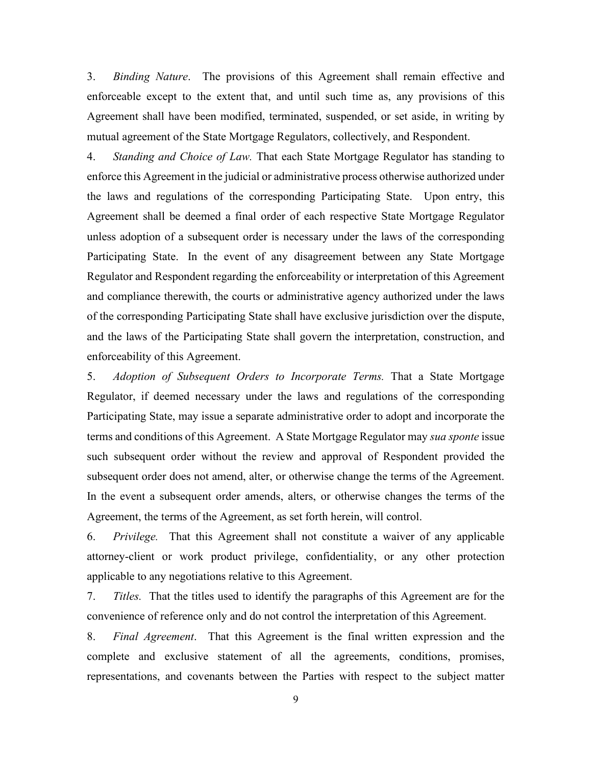3. *Binding Nature*. The provisions of this Agreement shall remain effective and enforceable except to the extent that, and until such time as, any provisions of this Agreement shall have been modified, terminated, suspended, or set aside, in writing by mutual agreement of the State Mortgage Regulators, collectively, and Respondent.

4. *Standing and Choice of Law.* That each State Mortgage Regulator has standing to enforce this Agreement in the judicial or administrative process otherwise authorized under the laws and regulations of the corresponding Participating State. Upon entry, this Agreement shall be deemed a final order of each respective State Mortgage Regulator unless adoption of a subsequent order is necessary under the laws of the corresponding Participating State. In the event of any disagreement between any State Mortgage Regulator and Respondent regarding the enforceability or interpretation of this Agreement and compliance therewith, the courts or administrative agency authorized under the laws of the corresponding Participating State shall have exclusive jurisdiction over the dispute, and the laws of the Participating State shall govern the interpretation, construction, and enforceability of this Agreement.

5. *Adoption of Subsequent Orders to Incorporate Terms.* That a State Mortgage Regulator, if deemed necessary under the laws and regulations of the corresponding Participating State, may issue a separate administrative order to adopt and incorporate the terms and conditions of this Agreement. A State Mortgage Regulator may *sua sponte* issue such subsequent order without the review and approval of Respondent provided the subsequent order does not amend, alter, or otherwise change the terms of the Agreement. In the event a subsequent order amends, alters, or otherwise changes the terms of the Agreement, the terms of the Agreement, as set forth herein, will control.

6. *Privilege.* That this Agreement shall not constitute a waiver of any applicable attorney-client or work product privilege, confidentiality, or any other protection applicable to any negotiations relative to this Agreement.

7. *Titles.* That the titles used to identify the paragraphs of this Agreement are for the convenience of reference only and do not control the interpretation of this Agreement.

8. *Final Agreement*. That this Agreement is the final written expression and the complete and exclusive statement of all the agreements, conditions, promises, representations, and covenants between the Parties with respect to the subject matter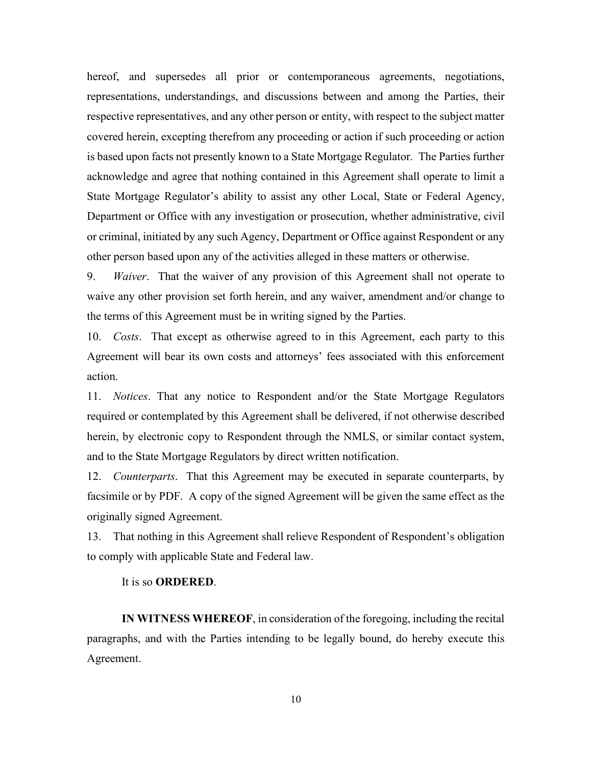hereof, and supersedes all prior or contemporaneous agreements, negotiations, representations, understandings, and discussions between and among the Parties, their respective representatives, and any other person or entity, with respect to the subject matter covered herein, excepting therefrom any proceeding or action if such proceeding or action is based upon facts not presently known to a State Mortgage Regulator. The Parties further acknowledge and agree that nothing contained in this Agreement shall operate to limit a State Mortgage Regulator's ability to assist any other Local, State or Federal Agency, Department or Office with any investigation or prosecution, whether administrative, civil or criminal, initiated by any such Agency, Department or Office against Respondent or any other person based upon any of the activities alleged in these matters or otherwise.

9. *Waiver*. That the waiver of any provision of this Agreement shall not operate to waive any other provision set forth herein, and any waiver, amendment and/or change to the terms of this Agreement must be in writing signed by the Parties.

10. *Costs*. That except as otherwise agreed to in this Agreement, each party to this Agreement will bear its own costs and attorneys' fees associated with this enforcement action.

11. *Notices*. That any notice to Respondent and/or the State Mortgage Regulators required or contemplated by this Agreement shall be delivered, if not otherwise described herein, by electronic copy to Respondent through the NMLS, or similar contact system, and to the State Mortgage Regulators by direct written notification.

12. *Counterparts*. That this Agreement may be executed in separate counterparts, by facsimile or by PDF. A copy of the signed Agreement will be given the same effect as the originally signed Agreement.

13. That nothing in this Agreement shall relieve Respondent of Respondent's obligation to comply with applicable State and Federal law.

#### It is so **ORDERED**.

**IN WITNESS WHEREOF**, in consideration of the foregoing, including the recital paragraphs, and with the Parties intending to be legally bound, do hereby execute this Agreement.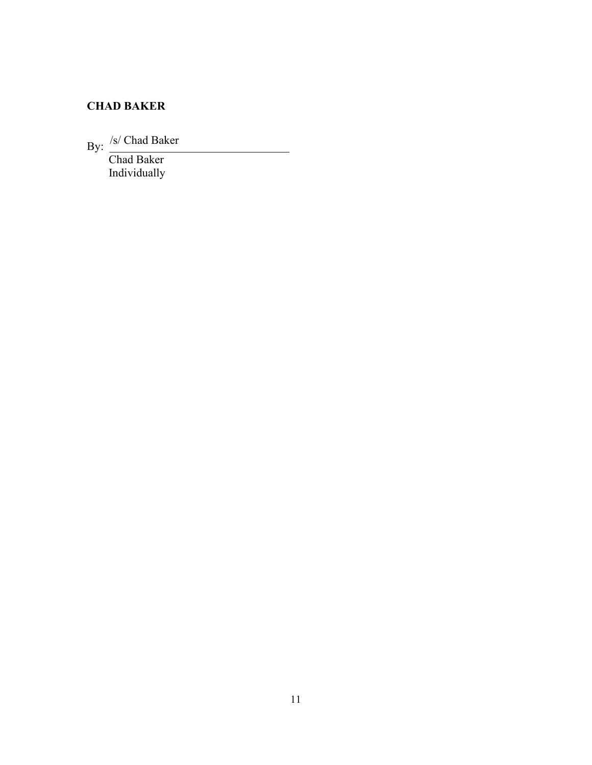# **CHAD BAKER**

By:  $\frac{S}{S}$  Chad Baker

Chad Baker Individually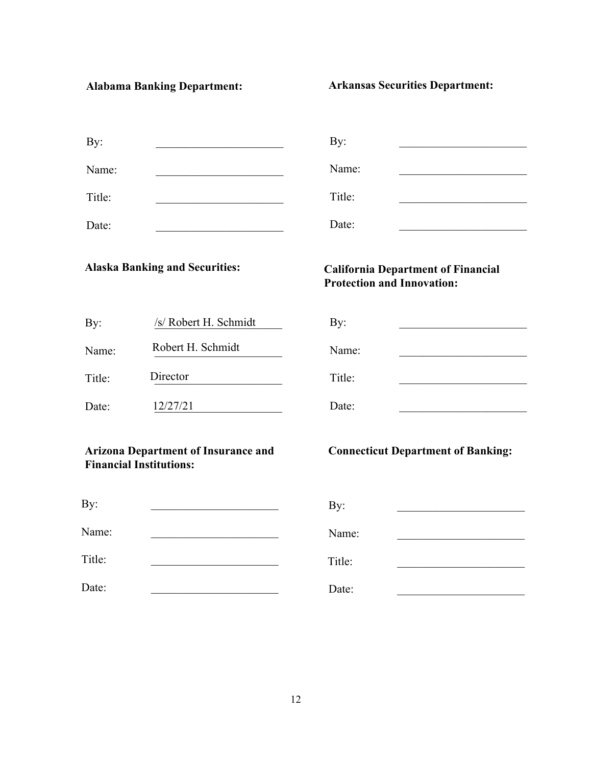**Alabama Banking Department:**

**Arkansas Securities Department:**

| By:    | By:    |
|--------|--------|
| Name:  | Name:  |
| Title: | Title: |
| Date:  | Date:  |

By:

Name:

Title:

Date:

# **Alaska Banking and Securities:**

# **California Department of Financial Protection and Innovation:**

| $\gamma$ : | /s/ Robert H. Schmidt |
|------------|-----------------------|
| Name:      | Robert H. Schmidt     |
| Title:     | Director              |
| Date:      | 12/27/21              |

# **Arizona Department of Insurance and Financial Institutions:**

**Connecticut Department of Banking:**

 $\overline{\phantom{a}}$  , which is a set of the set of the set of the set of the set of the set of the set of the set of the set of the set of the set of the set of the set of the set of the set of the set of the set of the set of th

 $\mathcal{L}=\mathcal{L}=\mathcal{L}=\mathcal{L}=\mathcal{L}=\mathcal{L}=\mathcal{L}=\mathcal{L}=\mathcal{L}=\mathcal{L}=\mathcal{L}=\mathcal{L}=\mathcal{L}=\mathcal{L}=\mathcal{L}=\mathcal{L}=\mathcal{L}=\mathcal{L}=\mathcal{L}=\mathcal{L}=\mathcal{L}=\mathcal{L}=\mathcal{L}=\mathcal{L}=\mathcal{L}=\mathcal{L}=\mathcal{L}=\mathcal{L}=\mathcal{L}=\mathcal{L}=\mathcal{L}=\mathcal{L}=\mathcal{L}=\mathcal{L}=\mathcal{L}=\mathcal{L}=\mathcal{$ 

| By:    | By:    |  |
|--------|--------|--|
| Name:  | Name:  |  |
| Title: | Title: |  |
| Date:  | Date:  |  |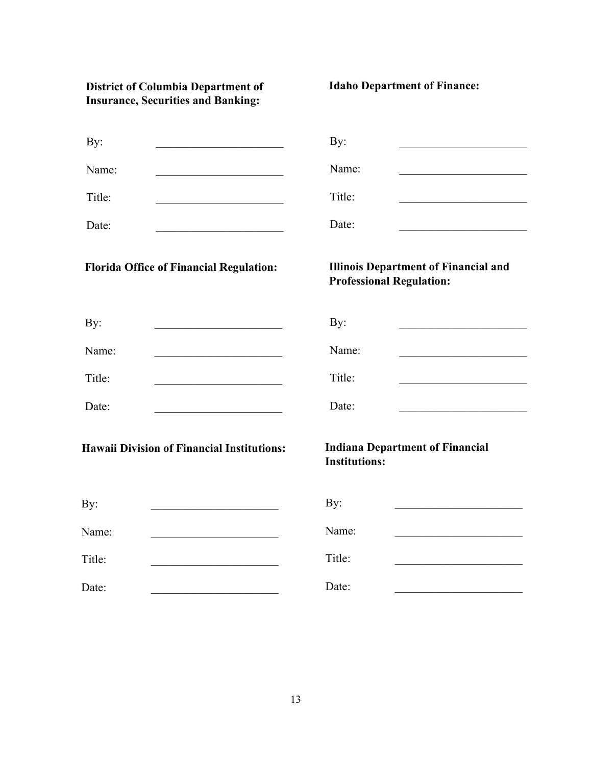**District of Columbia Department of Insurance, Securities and Banking:**

**Idaho Department of Finance:**

| By:    | By:    |  |
|--------|--------|--|
| Name:  | Name:  |  |
| Title: | Title: |  |
| Date:  | Date:  |  |

# **Florida Office of Financial Regulation:**

# **Illinois Department of Financial and Professional Regulation:**

| By:    | By:    |  |
|--------|--------|--|
| Name:  | Name:  |  |
| Title: | Title: |  |
| Date:  | Date:  |  |

# **Hawaii Division of Financial Institutions:**

### **Indiana Department of Financial Institutions:**

| By:    | By:    |  |
|--------|--------|--|
| Name:  | Name:  |  |
| Title: | Title: |  |
| Date:  | Date:  |  |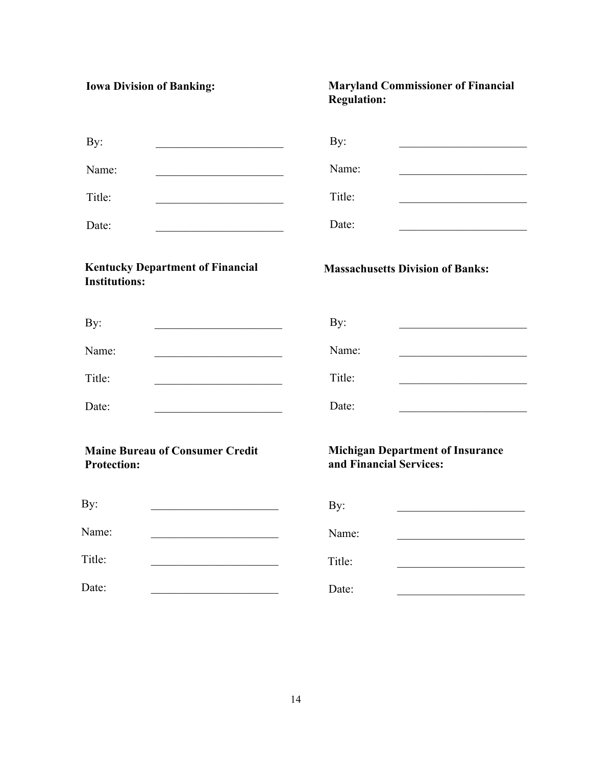| <b>Iowa Division of Banking:</b>                                   | <b>Maryland Commissioner of Financial</b><br><b>Regulation:</b>    |
|--------------------------------------------------------------------|--------------------------------------------------------------------|
| By:<br>the control of the control of the control of the control of | By:                                                                |
| Name:                                                              | Name:                                                              |
| Title:                                                             | Title:                                                             |
| Date:                                                              | Date:                                                              |
| <b>Kentucky Department of Financial</b><br><b>Institutions:</b>    | <b>Massachusetts Division of Banks:</b>                            |
| By:                                                                | By:                                                                |
| Name:<br><u> 1989 - Johann Barbara, martxa alemani</u> ar a        | Name:                                                              |
| Title:                                                             | Title:                                                             |
| Date:                                                              | Date:                                                              |
| <b>Maine Bureau of Consumer Credit</b><br><b>Protection:</b>       | <b>Michigan Department of Insurance</b><br>and Financial Services: |
| By:                                                                | By:                                                                |
| Name:                                                              | Name:                                                              |
| Title:                                                             | Title:                                                             |
| Date:                                                              | Date:                                                              |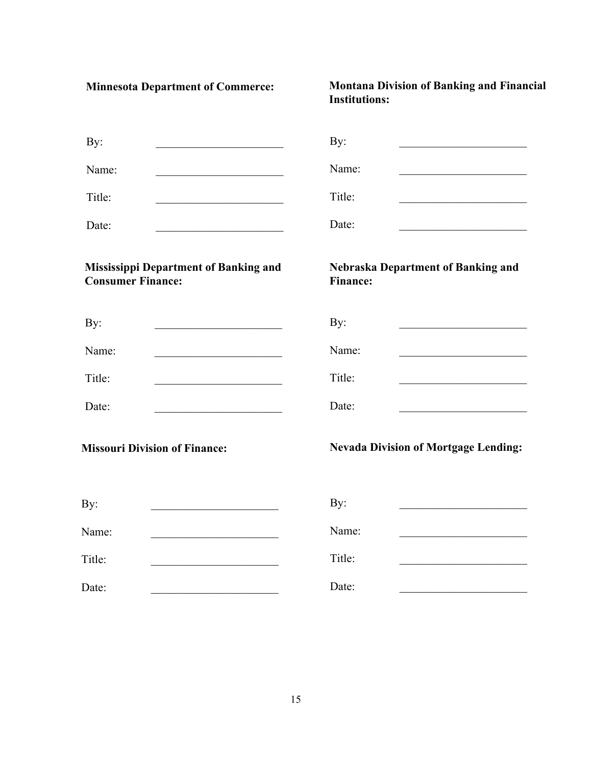**Minnesota Department of Commerce:** By: \_\_\_\_\_\_\_\_\_\_\_\_\_\_\_\_\_\_\_\_\_\_ Name: Title: Date: **Mississippi Department of Banking and Consumer Finance:** By: Name: Title: Date:  $\frac{1}{2}$  ,  $\frac{1}{2}$  ,  $\frac{1}{2}$  ,  $\frac{1}{2}$  ,  $\frac{1}{2}$  ,  $\frac{1}{2}$  ,  $\frac{1}{2}$  ,  $\frac{1}{2}$  ,  $\frac{1}{2}$  ,  $\frac{1}{2}$  ,  $\frac{1}{2}$  ,  $\frac{1}{2}$  ,  $\frac{1}{2}$  ,  $\frac{1}{2}$  ,  $\frac{1}{2}$  ,  $\frac{1}{2}$  ,  $\frac{1}{2}$  ,  $\frac{1}{2}$  ,  $\frac{1$  $\frac{1}{2}$  . The set of the set of the set of the set of the set of the set of the set of the set of the set of the set of the set of the set of the set of the set of the set of the set of the set of the set of the set of  $\overline{\phantom{a}}$ **Missouri Division of Finance:** By: Name: Title:  $\overline{\phantom{a}}$  $\mathcal{L}_\text{max}$  , which is a set of the set of the set of the set of the set of the set of the set of the set of the set of the set of the set of the set of the set of the set of the set of the set of the set of the set of **Montana Division of Banking and Financial Institutions:** By: Name: Title: Date:  $\overline{\phantom{a}}$  , which is a set of the set of the set of the set of the set of the set of the set of the set of the set of the set of the set of the set of the set of the set of the set of the set of the set of the set of th  $\overline{\phantom{a}}$  , which is a set of the set of the set of the set of the set of the set of the set of the set of the set of the set of the set of the set of the set of the set of the set of the set of the set of the set of th  $\overline{\phantom{a}}$  , which is a set of the set of the set of the set of the set of the set of the set of the set of the set of the set of the set of the set of the set of the set of the set of the set of the set of the set of th  $\mathcal{L}=\mathcal{L}=\mathcal{L}=\mathcal{L}=\mathcal{L}=\mathcal{L}=\mathcal{L}=\mathcal{L}=\mathcal{L}=\mathcal{L}=\mathcal{L}=\mathcal{L}=\mathcal{L}=\mathcal{L}=\mathcal{L}=\mathcal{L}=\mathcal{L}=\mathcal{L}=\mathcal{L}=\mathcal{L}=\mathcal{L}=\mathcal{L}=\mathcal{L}=\mathcal{L}=\mathcal{L}=\mathcal{L}=\mathcal{L}=\mathcal{L}=\mathcal{L}=\mathcal{L}=\mathcal{L}=\mathcal{L}=\mathcal{L}=\mathcal{L}=\mathcal{L}=\mathcal{L}=\mathcal{$ **Nebraska Department of Banking and Finance:** By: Name: Title: Date:  $\overline{\phantom{a}}$  , which is a set of the set of the set of the set of the set of the set of the set of the set of the set of the set of the set of the set of the set of the set of the set of the set of the set of the set of th  $\overline{\phantom{a}}$  , which is a set of the set of the set of the set of the set of the set of the set of the set of the set of the set of the set of the set of the set of the set of the set of the set of the set of the set of th  $\mathcal{L}=\mathcal{L}=\mathcal{L}=\mathcal{L}=\mathcal{L}=\mathcal{L}=\mathcal{L}=\mathcal{L}=\mathcal{L}=\mathcal{L}=\mathcal{L}=\mathcal{L}=\mathcal{L}=\mathcal{L}=\mathcal{L}=\mathcal{L}=\mathcal{L}=\mathcal{L}=\mathcal{L}=\mathcal{L}=\mathcal{L}=\mathcal{L}=\mathcal{L}=\mathcal{L}=\mathcal{L}=\mathcal{L}=\mathcal{L}=\mathcal{L}=\mathcal{L}=\mathcal{L}=\mathcal{L}=\mathcal{L}=\mathcal{L}=\mathcal{L}=\mathcal{L}=\mathcal{L}=\mathcal{$ **Nevada Division of Mortgage Lending:** By: Name: Title:  $\overline{\phantom{a}}$  $\mathcal{L}_\text{max}$  , where  $\mathcal{L}_\text{max}$ 

Date:

Date: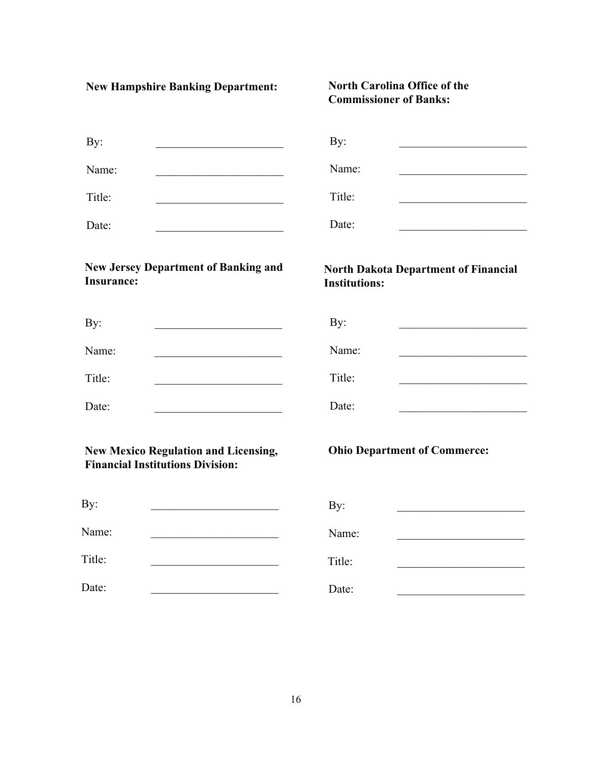**New Hampshire Banking Department:** By: \_\_\_\_\_\_\_\_\_\_\_\_\_\_\_\_\_\_\_\_\_\_ Name: Title: Date: **New Jersey Department of Banking and Insurance:** By: Name: Title: Date:  $\overline{\phantom{a}}$ \_\_\_\_\_\_\_\_\_\_\_\_\_\_\_\_\_\_\_\_\_\_  $\overline{\phantom{a}}$ **New Mexico Regulation and Licensing, Financial Institutions Division:** By: Name: Title: Date:  $\overline{\phantom{a}}$  $\mathcal{L}_\text{max}$  , and the set of the set of the set of the set of the set of the set of the set of the set of the set of the set of the set of the set of the set of the set of the set of the set of the set of the set of the  $\overline{\phantom{a}}$ By: Name: Title: Date:  $\overline{\phantom{a}}$  , which is a set of the set of the set of the set of the set of the set of the set of the set of the set of the set of the set of the set of the set of the set of the set of the set of the set of the set of th  $\overline{\phantom{a}}$  , which is a set of the set of the set of the set of the set of the set of the set of the set of the set of the set of the set of the set of the set of the set of the set of the set of the set of the set of th  $\overline{\phantom{a}}$  , which is a set of the set of the set of the set of the set of the set of the set of the set of the set of the set of the set of the set of the set of the set of the set of the set of the set of the set of th  $\mathcal{L}=\mathcal{L}=\mathcal{L}=\mathcal{L}=\mathcal{L}=\mathcal{L}=\mathcal{L}=\mathcal{L}=\mathcal{L}=\mathcal{L}=\mathcal{L}=\mathcal{L}=\mathcal{L}=\mathcal{L}=\mathcal{L}=\mathcal{L}=\mathcal{L}=\mathcal{L}=\mathcal{L}=\mathcal{L}=\mathcal{L}=\mathcal{L}=\mathcal{L}=\mathcal{L}=\mathcal{L}=\mathcal{L}=\mathcal{L}=\mathcal{L}=\mathcal{L}=\mathcal{L}=\mathcal{L}=\mathcal{L}=\mathcal{L}=\mathcal{L}=\mathcal{L}=\mathcal{L}=\mathcal{$ By: Name: Title: Date:  $\overline{\phantom{a}}$  , which is a set of the set of the set of the set of the set of the set of the set of the set of the set of the set of the set of the set of the set of the set of the set of the set of the set of the set of th  $\overline{\phantom{a}}$  , which is a set of the set of the set of the set of the set of the set of the set of the set of the set of the set of the set of the set of the set of the set of the set of the set of the set of the set of th  $\mathcal{L}=\mathcal{L}=\mathcal{L}=\mathcal{L}=\mathcal{L}=\mathcal{L}=\mathcal{L}=\mathcal{L}=\mathcal{L}=\mathcal{L}=\mathcal{L}=\mathcal{L}=\mathcal{L}=\mathcal{L}=\mathcal{L}=\mathcal{L}=\mathcal{L}=\mathcal{L}=\mathcal{L}=\mathcal{L}=\mathcal{L}=\mathcal{L}=\mathcal{L}=\mathcal{L}=\mathcal{L}=\mathcal{L}=\mathcal{L}=\mathcal{L}=\mathcal{L}=\mathcal{L}=\mathcal{L}=\mathcal{L}=\mathcal{L}=\mathcal{L}=\mathcal{L}=\mathcal{L}=\mathcal{$ By: Name: Title: Date:  $\mathcal{L}=\mathcal{L}=\mathcal{L}=\mathcal{L}=\mathcal{L}=\mathcal{L}=\mathcal{L}=\mathcal{L}=\mathcal{L}=\mathcal{L}=\mathcal{L}=\mathcal{L}=\mathcal{L}=\mathcal{L}=\mathcal{L}=\mathcal{L}=\mathcal{L}=\mathcal{L}=\mathcal{L}=\mathcal{L}=\mathcal{L}=\mathcal{L}=\mathcal{L}=\mathcal{L}=\mathcal{L}=\mathcal{L}=\mathcal{L}=\mathcal{L}=\mathcal{L}=\mathcal{L}=\mathcal{L}=\mathcal{L}=\mathcal{L}=\mathcal{L}=\mathcal{L}=\mathcal{L}=\mathcal{$  $\overline{\phantom{a}}$  , which is a set of the set of the set of the set of the set of the set of the set of the set of the set of the set of the set of the set of the set of the set of the set of the set of the set of the set of th  $\overline{\phantom{a}}$  , which is a set of the set of the set of the set of the set of the set of the set of the set of the set of the set of the set of the set of the set of the set of the set of the set of the set of the set of th **Ohio Department of Commerce: North Dakota Department of Financial Institutions: North Carolina Office of the Commissioner of Banks:**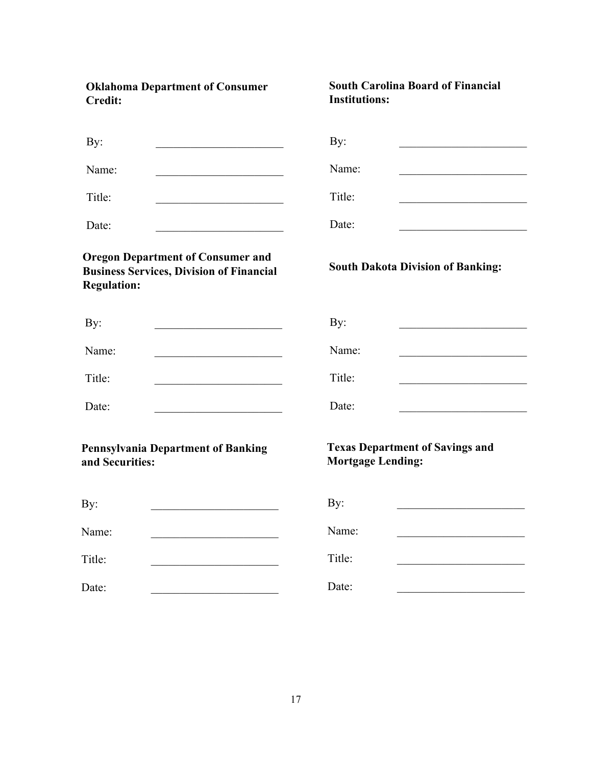| <b>Oklahoma Department of Consumer</b><br><b>Credit:</b>                                                          | <b>South Carolina Board of Financial</b><br><b>Institutions:</b>   |
|-------------------------------------------------------------------------------------------------------------------|--------------------------------------------------------------------|
| By:                                                                                                               | By:                                                                |
| Name:                                                                                                             | Name:                                                              |
| Title:                                                                                                            | Title:                                                             |
| Date:                                                                                                             | Date:                                                              |
| <b>Oregon Department of Consumer and</b><br><b>Business Services, Division of Financial</b><br><b>Regulation:</b> | <b>South Dakota Division of Banking:</b>                           |
| By:<br>the control of the control of the control of the control of the control of                                 | By:                                                                |
| Name:<br><u> 1990 - Johann Barbara, martin a</u>                                                                  | Name:                                                              |
| Title:                                                                                                            | Title:                                                             |
| Date:                                                                                                             | Date:                                                              |
| <b>Pennsylvania Department of Banking</b><br>and Securities:                                                      | <b>Texas Department of Savings and</b><br><b>Mortgage Lending:</b> |
| By:                                                                                                               | By:                                                                |
| Name:                                                                                                             | Name:                                                              |
| Title:                                                                                                            | Title:                                                             |
| Date:                                                                                                             | Date:                                                              |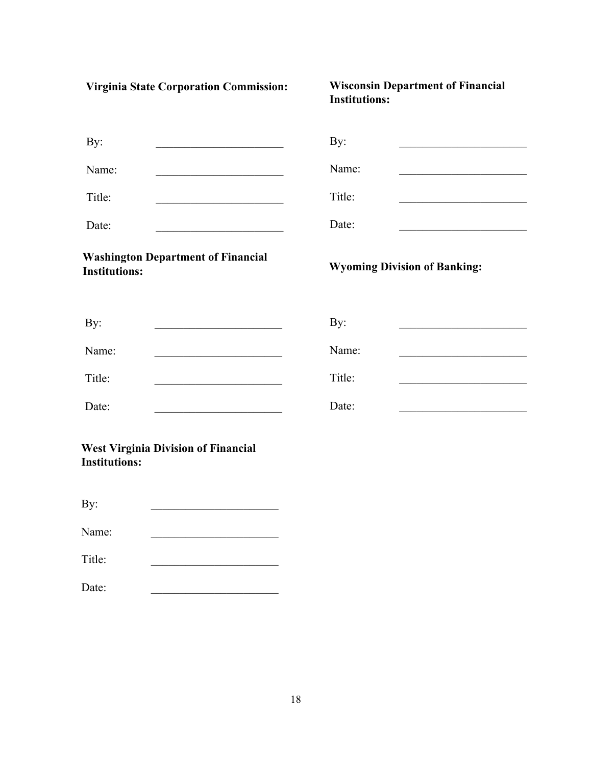**Virginia State Corporation Commission:** By: \_\_\_\_\_\_\_\_\_\_\_\_\_\_\_\_\_\_\_\_\_\_ Name: Title: Date: **Washington Department of Financial Institutions:** By: Name: Title: Date: \_\_\_\_\_\_\_\_\_\_\_\_\_\_\_\_\_\_\_\_\_\_  $\overline{\phantom{a}}$ **Wisconsin Department of Financial Institutions:** By: Name: Title: Date:  $\overline{\phantom{a}}$  , which is a set of the set of the set of the set of the set of the set of the set of the set of the set of the set of the set of the set of the set of the set of the set of the set of the set of the set of th  $\overline{\phantom{a}}$  , which is a set of the set of the set of the set of the set of the set of the set of the set of the set of the set of the set of the set of the set of the set of the set of the set of the set of the set of th  $\overline{\phantom{a}}$  , which is a set of the set of the set of the set of the set of the set of the set of the set of the set of the set of the set of the set of the set of the set of the set of the set of the set of the set of th  $\mathcal{L}=\mathcal{L}=\mathcal{L}=\mathcal{L}=\mathcal{L}=\mathcal{L}=\mathcal{L}=\mathcal{L}=\mathcal{L}=\mathcal{L}=\mathcal{L}=\mathcal{L}=\mathcal{L}=\mathcal{L}=\mathcal{L}=\mathcal{L}=\mathcal{L}=\mathcal{L}=\mathcal{L}=\mathcal{L}=\mathcal{L}=\mathcal{L}=\mathcal{L}=\mathcal{L}=\mathcal{L}=\mathcal{L}=\mathcal{L}=\mathcal{L}=\mathcal{L}=\mathcal{L}=\mathcal{L}=\mathcal{L}=\mathcal{L}=\mathcal{L}=\mathcal{L}=\mathcal{L}=\mathcal{$ **Wyoming Division of Banking:** By: Name: Title: Date:  $\overline{\phantom{a}}$  , which is a set of the set of the set of the set of the set of the set of the set of the set of the set of the set of the set of the set of the set of the set of the set of the set of the set of the set of th  $\overline{\phantom{a}}$  , which is a set of the set of the set of the set of the set of the set of the set of the set of the set of the set of the set of the set of the set of the set of the set of the set of the set of the set of th  $\mathcal{L}=\mathcal{L}=\mathcal{L}=\mathcal{L}=\mathcal{L}=\mathcal{L}=\mathcal{L}=\mathcal{L}=\mathcal{L}=\mathcal{L}=\mathcal{L}=\mathcal{L}=\mathcal{L}=\mathcal{L}=\mathcal{L}=\mathcal{L}=\mathcal{L}=\mathcal{L}=\mathcal{L}=\mathcal{L}=\mathcal{L}=\mathcal{L}=\mathcal{L}=\mathcal{L}=\mathcal{L}=\mathcal{L}=\mathcal{L}=\mathcal{L}=\mathcal{L}=\mathcal{L}=\mathcal{L}=\mathcal{L}=\mathcal{L}=\mathcal{L}=\mathcal{L}=\mathcal{L}=\mathcal{$ 

**West Virginia Division of Financial Institutions:**

| By:    |  |
|--------|--|
| Name:  |  |
| Title: |  |
| Date:  |  |